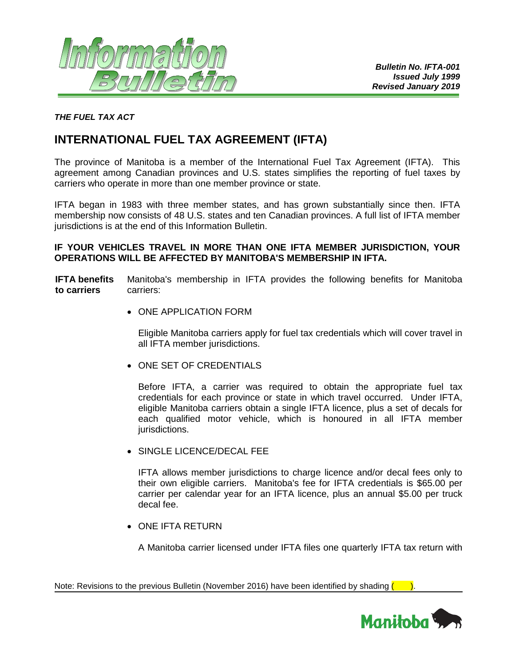

## *THE FUEL TAX ACT*

# **INTERNATIONAL FUEL TAX AGREEMENT (IFTA)**

The province of Manitoba is a member of the International Fuel Tax Agreement (IFTA). This agreement among Canadian provinces and U.S. states simplifies the reporting of fuel taxes by carriers who operate in more than one member province or state.

IFTA began in 1983 with three member states, and has grown substantially since then. IFTA membership now consists of 48 U.S. states and ten Canadian provinces. A full list of IFTA member jurisdictions is at the end of this Information Bulletin.

### **IF YOUR VEHICLES TRAVEL IN MORE THAN ONE IFTA MEMBER JURISDICTION, YOUR OPERATIONS WILL BE AFFECTED BY MANITOBA'S MEMBERSHIP IN IFTA.**

**IFTA benefits to carriers** Manitoba's membership in IFTA provides the following benefits for Manitoba carriers:

• ONE APPLICATION FORM

Eligible Manitoba carriers apply for fuel tax credentials which will cover travel in all IFTA member jurisdictions.

• ONE SET OF CREDENTIALS

Before IFTA, a carrier was required to obtain the appropriate fuel tax credentials for each province or state in which travel occurred. Under IFTA, eligible Manitoba carriers obtain a single IFTA licence, plus a set of decals for each qualified motor vehicle, which is honoured in all IFTA member jurisdictions.

• SINGLE LICENCE/DECAL FEE

IFTA allows member jurisdictions to charge licence and/or decal fees only to their own eligible carriers. Manitoba's fee for IFTA credentials is \$65.00 per carrier per calendar year for an IFTA licence, plus an annual \$5.00 per truck decal fee.

• ONE IFTA RETURN

A Manitoba carrier licensed under IFTA files one quarterly IFTA tax return with

Note: Revisions to the previous Bulletin (November 2016) have been identified by shading  $($ 

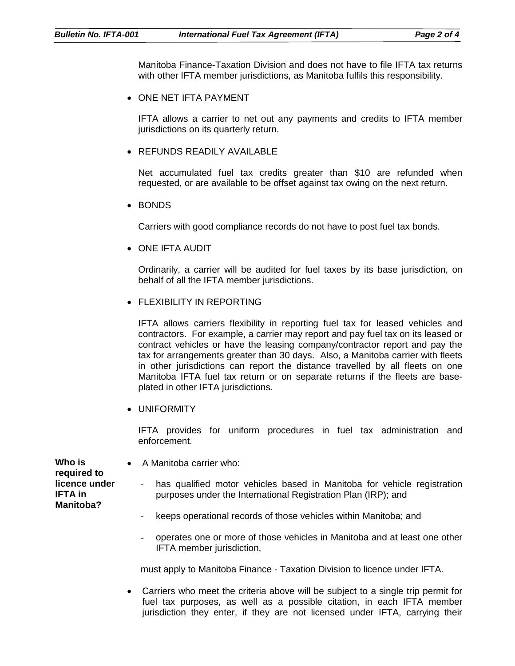Manitoba Finance-Taxation Division and does not have to file IFTA tax returns with other IFTA member jurisdictions, as Manitoba fulfils this responsibility.

• ONE NET IFTA PAYMENT

IFTA allows a carrier to net out any payments and credits to IFTA member jurisdictions on its quarterly return.

• REFUNDS READILY AVAILABLE

Net accumulated fuel tax credits greater than \$10 are refunded when requested, or are available to be offset against tax owing on the next return.

• BONDS

Carriers with good compliance records do not have to post fuel tax bonds.

• ONE IFTA AUDIT

Ordinarily, a carrier will be audited for fuel taxes by its base jurisdiction, on behalf of all the IFTA member jurisdictions.

• FLEXIBILITY IN REPORTING

IFTA allows carriers flexibility in reporting fuel tax for leased vehicles and contractors. For example, a carrier may report and pay fuel tax on its leased or contract vehicles or have the leasing company/contractor report and pay the tax for arrangements greater than 30 days. Also, a Manitoba carrier with fleets in other jurisdictions can report the distance travelled by all fleets on one Manitoba IFTA fuel tax return or on separate returns if the fleets are baseplated in other IFTA jurisdictions.

• UNIFORMITY

IFTA provides for uniform procedures in fuel tax administration and enforcement.

| Who is<br>required to                        | • A Manitoba carrier who:                                                                                                                              |
|----------------------------------------------|--------------------------------------------------------------------------------------------------------------------------------------------------------|
| licence under<br>IFTA in<br><b>Manitoba?</b> | has qualified motor vehicles based in Manitoba for vehicle registration<br>$\sim$ $-$<br>purposes under the International Registration Plan (IRP); and |
|                                              | keeps operational records of those vehicles within Manitoba; and<br>$\sim$ $-$                                                                         |

- operates one or more of those vehicles in Manitoba and at least one other IFTA member jurisdiction,

must apply to Manitoba Finance - Taxation Division to licence under IFTA.

• Carriers who meet the criteria above will be subject to a single trip permit for fuel tax purposes, as well as a possible citation, in each IFTA member jurisdiction they enter, if they are not licensed under IFTA, carrying their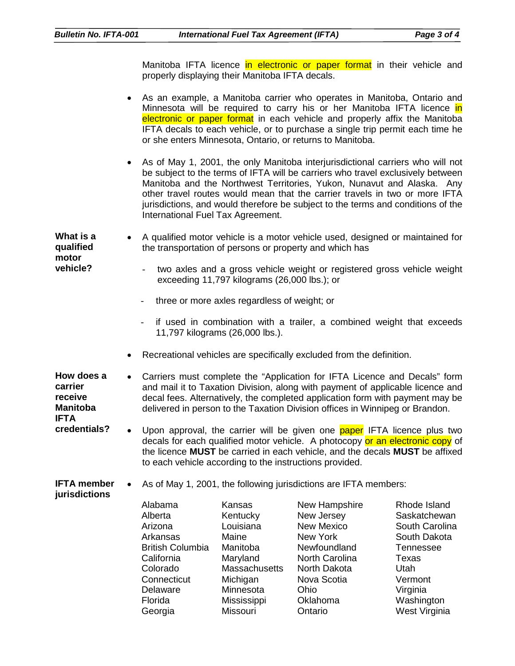Manitoba IFTA licence in electronic or paper format in their vehicle and properly displaying their Manitoba IFTA decals.

|                                                                    |                                                                                                                                          |                                                                                                                                                                                                                                                                                                                              | As an example, a Manitoba carrier who operates in Manitoba, Ontario and<br>Minnesota will be required to carry his or her Manitoba IFTA licence in<br>electronic or paper format in each vehicle and properly affix the Manitoba<br>IFTA decals to each vehicle, or to purchase a single trip permit each time he<br>or she enters Minnesota, Ontario, or returns to Manitoba.                                 |                                                                                                                                                 |  |  |  |
|--------------------------------------------------------------------|------------------------------------------------------------------------------------------------------------------------------------------|------------------------------------------------------------------------------------------------------------------------------------------------------------------------------------------------------------------------------------------------------------------------------------------------------------------------------|----------------------------------------------------------------------------------------------------------------------------------------------------------------------------------------------------------------------------------------------------------------------------------------------------------------------------------------------------------------------------------------------------------------|-------------------------------------------------------------------------------------------------------------------------------------------------|--|--|--|
|                                                                    | $\bullet$<br>International Fuel Tax Agreement.                                                                                           |                                                                                                                                                                                                                                                                                                                              | As of May 1, 2001, the only Manitoba interjurisdictional carriers who will not<br>be subject to the terms of IFTA will be carriers who travel exclusively between<br>Manitoba and the Northwest Territories, Yukon, Nunavut and Alaska. Any<br>other travel routes would mean that the carrier travels in two or more IFTA<br>jurisdictions, and would therefore be subject to the terms and conditions of the |                                                                                                                                                 |  |  |  |
| What is a<br>qualified<br>motor                                    | A qualified motor vehicle is a motor vehicle used, designed or maintained for<br>the transportation of persons or property and which has |                                                                                                                                                                                                                                                                                                                              |                                                                                                                                                                                                                                                                                                                                                                                                                |                                                                                                                                                 |  |  |  |
| vehicle?                                                           |                                                                                                                                          | two axles and a gross vehicle weight or registered gross vehicle weight<br>exceeding 11,797 kilograms (26,000 lbs.); or                                                                                                                                                                                                      |                                                                                                                                                                                                                                                                                                                                                                                                                |                                                                                                                                                 |  |  |  |
|                                                                    | three or more axles regardless of weight; or                                                                                             |                                                                                                                                                                                                                                                                                                                              |                                                                                                                                                                                                                                                                                                                                                                                                                |                                                                                                                                                 |  |  |  |
|                                                                    | if used in combination with a trailer, a combined weight that exceeds<br>11,797 kilograms (26,000 lbs.).                                 |                                                                                                                                                                                                                                                                                                                              |                                                                                                                                                                                                                                                                                                                                                                                                                |                                                                                                                                                 |  |  |  |
|                                                                    |                                                                                                                                          | Recreational vehicles are specifically excluded from the definition.                                                                                                                                                                                                                                                         |                                                                                                                                                                                                                                                                                                                                                                                                                |                                                                                                                                                 |  |  |  |
| How does a<br>carrier<br>receive<br><b>Manitoba</b><br><b>IFTA</b> | $\bullet$                                                                                                                                | Carriers must complete the "Application for IFTA Licence and Decals" form<br>and mail it to Taxation Division, along with payment of applicable licence and<br>decal fees. Alternatively, the completed application form with payment may be<br>delivered in person to the Taxation Division offices in Winnipeg or Brandon. |                                                                                                                                                                                                                                                                                                                                                                                                                |                                                                                                                                                 |  |  |  |
| credentials?                                                       | $\bullet$                                                                                                                                | Upon approval, the carrier will be given one paper IFTA licence plus two<br>decals for each qualified motor vehicle. A photocopy or an electronic copy of<br>the licence MUST be carried in each vehicle, and the decals MUST be affixed<br>to each vehicle according to the instructions provided.                          |                                                                                                                                                                                                                                                                                                                                                                                                                |                                                                                                                                                 |  |  |  |
| <b>IFTA</b> member<br>jurisdictions                                |                                                                                                                                          |                                                                                                                                                                                                                                                                                                                              | As of May 1, 2001, the following jurisdictions are IFTA members:                                                                                                                                                                                                                                                                                                                                               |                                                                                                                                                 |  |  |  |
|                                                                    | Alabama<br>Alberta<br>Arizona<br>Arkansas<br><b>British Columbia</b><br>California<br>Colorado<br>Connecticut<br>Delaware<br>Florida     | Kansas<br>Kentucky<br>Louisiana<br>Maine<br>Manitoba<br>Maryland<br>Massachusetts<br>Michigan<br>Minnesota<br>Mississippi                                                                                                                                                                                                    | New Hampshire<br>New Jersey<br><b>New Mexico</b><br><b>New York</b><br>Newfoundland<br>North Carolina<br>North Dakota<br>Nova Scotia<br>Ohio<br>Oklahoma                                                                                                                                                                                                                                                       | Rhode Island<br>Saskatchewan<br>South Carolina<br>South Dakota<br><b>Tennessee</b><br><b>Texas</b><br>Utah<br>Vermont<br>Virginia<br>Washington |  |  |  |

Missouri

Ontario

West Virginia

Georgia